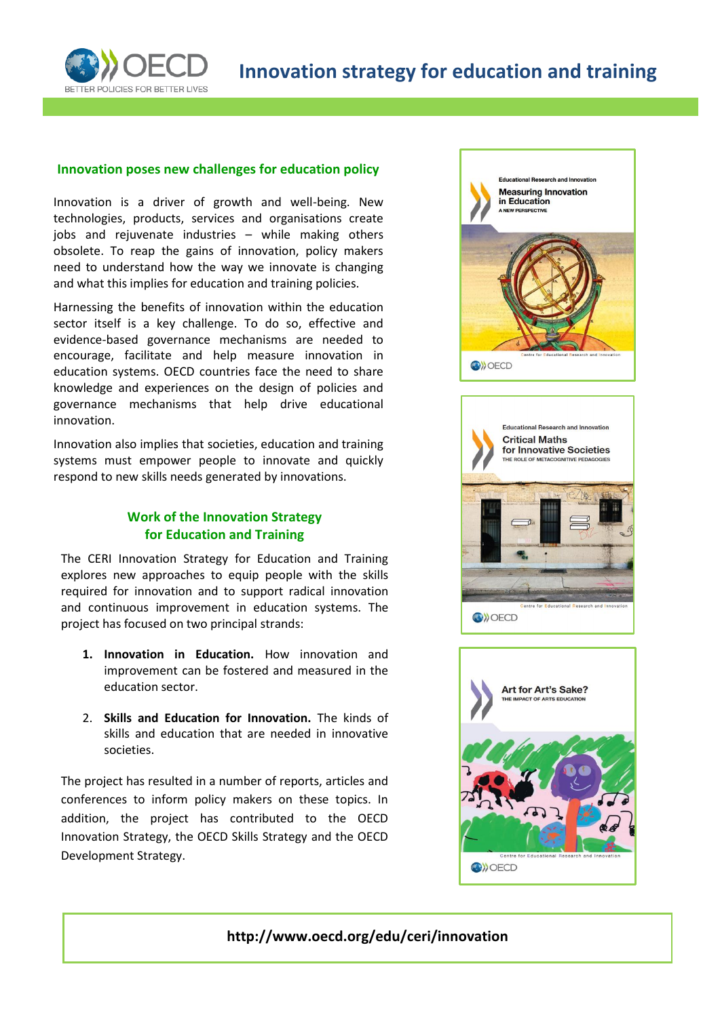

## **Innovation poses new challenges for education policy**

Innovation is a driver of growth and well-being. New technologies, products, services and organisations create jobs and rejuvenate industries – while making others obsolete. To reap the gains of innovation, policy makers need to understand how the way we innovate is changing and what this implies for education and training policies.

Harnessing the benefits of innovation within the education sector itself is a key challenge. To do so, effective and evidence-based governance mechanisms are needed to encourage, facilitate and help measure innovation in education systems. OECD countries face the need to share knowledge and experiences on the design of policies and governance mechanisms that help drive educational innovation.

Innovation also implies that societies, education and training systems must empower people to innovate and quickly respond to new skills needs generated by innovations.

## **Work of the Innovation Strategy for Education and Training**

The CERI Innovation Strategy for Education and Training explores new approaches to equip people with the skills required for innovation and to support radical innovation and continuous improvement in education systems. The project has focused on two principal strands:

- **1. Innovation in Education.** How innovation and improvement can be fostered and measured in the education sector.
- 2. **Skills and Education for Innovation.** The kinds of skills and education that are needed in innovative societies.

The project has resulted in a number of reports, articles and conferences to inform policy makers on these topics. In addition, the project has contributed to the OECD Innovation Strategy, the OECD Skills Strategy and the OECD Development Strategy.







**http://www.oecd.org/edu/ceri/innovation**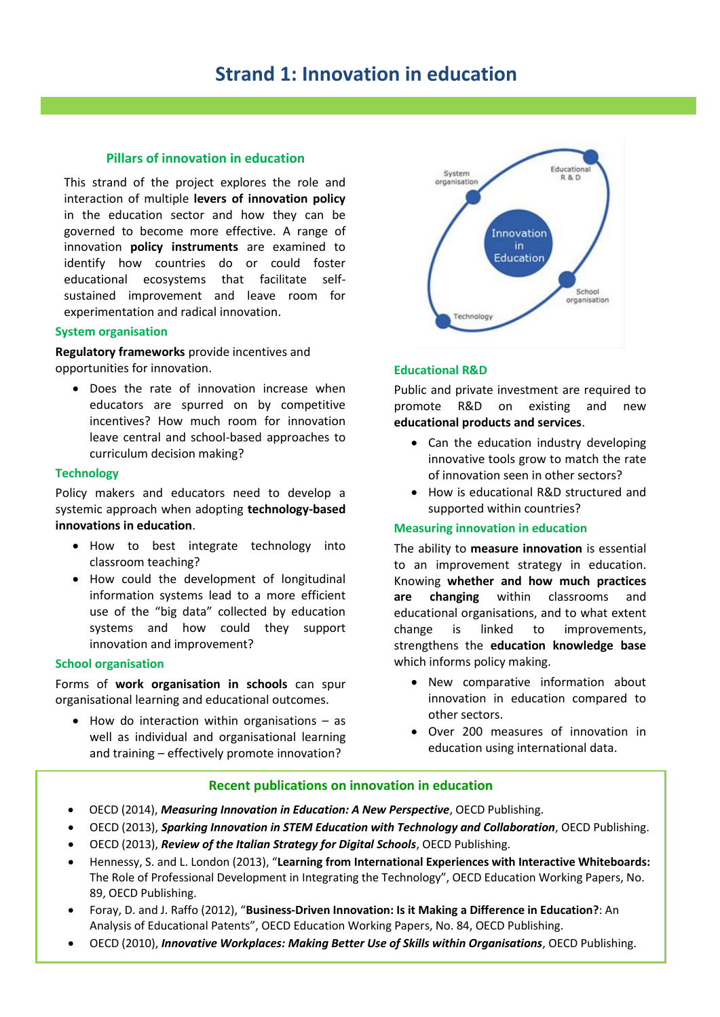# **Strand 1: Innovation in education**

## **Pillars of innovation in education**

This strand of the project explores the role and interaction of multiple **levers of innovation policy** in the education sector and how they can be governed to become more effective. A range of innovation **policy instruments** are examined to identify how countries do or could foster educational ecosystems that facilitate selfsustained improvement and leave room for experimentation and radical innovation.

#### **System organisation**

**Regulatory frameworks** provide incentives and opportunities for innovation.

 Does the rate of innovation increase when educators are spurred on by competitive incentives? How much room for innovation leave central and school-based approaches to curriculum decision making?

#### **Technology**

Policy makers and educators need to develop a systemic approach when adopting **technology-based innovations in education**.

- How to best integrate technology into classroom teaching?
- How could the development of longitudinal information systems lead to a more efficient use of the "big data" collected by education systems and how could they support innovation and improvement?

#### **School organisation**

Forms of **work organisation in schools** can spur organisational learning and educational outcomes.

 $\bullet$  How do interaction within organisations  $-$  as well as individual and organisational learning and training – effectively promote innovation?



#### **Educational R&D**

Public and private investment are required to promote R&D on existing and new **educational products and services**.

- Can the education industry developing innovative tools grow to match the rate of innovation seen in other sectors?
- How is educational R&D structured and supported within countries?

#### **Measuring innovation in education**

The ability to **measure innovation** is essential to an improvement strategy in education. Knowing **whether and how much practices are changing** within classrooms and educational organisations, and to what extent change is linked to improvements, strengthens the **education knowledge base** which informs policy making.

- New comparative information about innovation in education compared to other sectors.
- Over 200 measures of innovation in education using international data.

## **Recent publications on innovation in education**

- OECD (2014), *Measuring Innovation in Education: A New Perspective*, OECD Publishing.
- OECD (2013), *Sparking Innovation in STEM Education with Technology and Collaboration*, OECD Publishing.
- OECD (2013), *Review of the Italian Strategy for Digital Schools*, OECD Publishing.
- Hennessy, S. and L. London (2013), "**Learning from International Experiences with Interactive Whiteboards:**  The Role of Professional Development in Integrating the Technology", OECD Education Working Papers, No. 89, OECD Publishing.
- Foray, D. and J. Raffo (2012), "**Business-Driven Innovation: Is it Making a Difference in Education?**: An Analysis of Educational Patents", OECD Education Working Papers, No. 84, OECD Publishing.
- OECD (2010), *Innovative Workplaces: Making Better Use of Skills within Organisations*, OECD Publishing.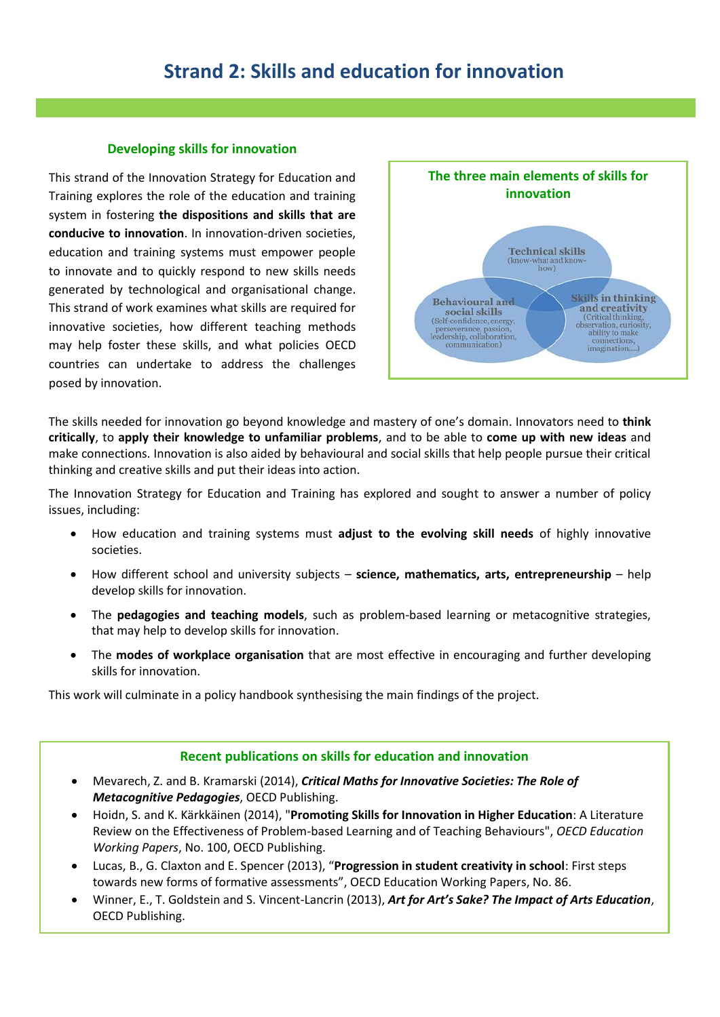# **Strand 2: Skills and education for innovation**

## **Developing skills for innovation**

This strand of the Innovation Strategy for Education and Training explores the role of the education and training system in fostering **the dispositions and skills that are conducive to innovation**. In innovation-driven societies, education and training systems must empower people to innovate and to quickly respond to new skills needs generated by technological and organisational change. This strand of work examines what skills are required for innovative societies, how different teaching methods may help foster these skills, and what policies OECD countries can undertake to address the challenges posed by innovation.



The skills needed for innovation go beyond knowledge and mastery of one's domain. Innovators need to **think critically**, to **apply their knowledge to unfamiliar problems**, and to be able to **come up with new ideas** and make connections. Innovation is also aided by behavioural and social skills that help people pursue their critical thinking and creative skills and put their ideas into action.

The Innovation Strategy for Education and Training has explored and sought to answer a number of policy issues, including:

- How education and training systems must **adjust to the evolving skill needs** of highly innovative societies.
- How different school and university subjects **science, mathematics, arts, entrepreneurship** help develop skills for innovation.
- The **pedagogies and teaching models**, such as problem-based learning or metacognitive strategies, that may help to develop skills for innovation.
- The **modes of workplace organisation** that are most effective in encouraging and further developing skills for innovation.

This work will culminate in a policy handbook synthesising the main findings of the project.

## **Recent publications on skills for education and innovation**

- Mevarech, Z. and B. Kramarski (2014), *Critical Maths for Innovative Societies: The Role of Metacognitive Pedagogies*, OECD Publishing.
- Hoidn, S. and K. Kärkkäinen (2014), "**Promoting Skills for Innovation in Higher Education**: A Literature Review on the Effectiveness of Problem-based Learning and of Teaching Behaviours", *OECD Education Working Papers*, No. 100, OECD Publishing.
- Lucas, B., G. Claxton and E. Spencer (2013), "**Progression in student creativity in school**: First steps towards new forms of formative assessments", OECD Education Working Papers, No. 86.
- Winner, E., T. Goldstein and S. Vincent-Lancrin (2013), *Art for Art's Sake? The Impact of Arts Education*, OECD Publishing.